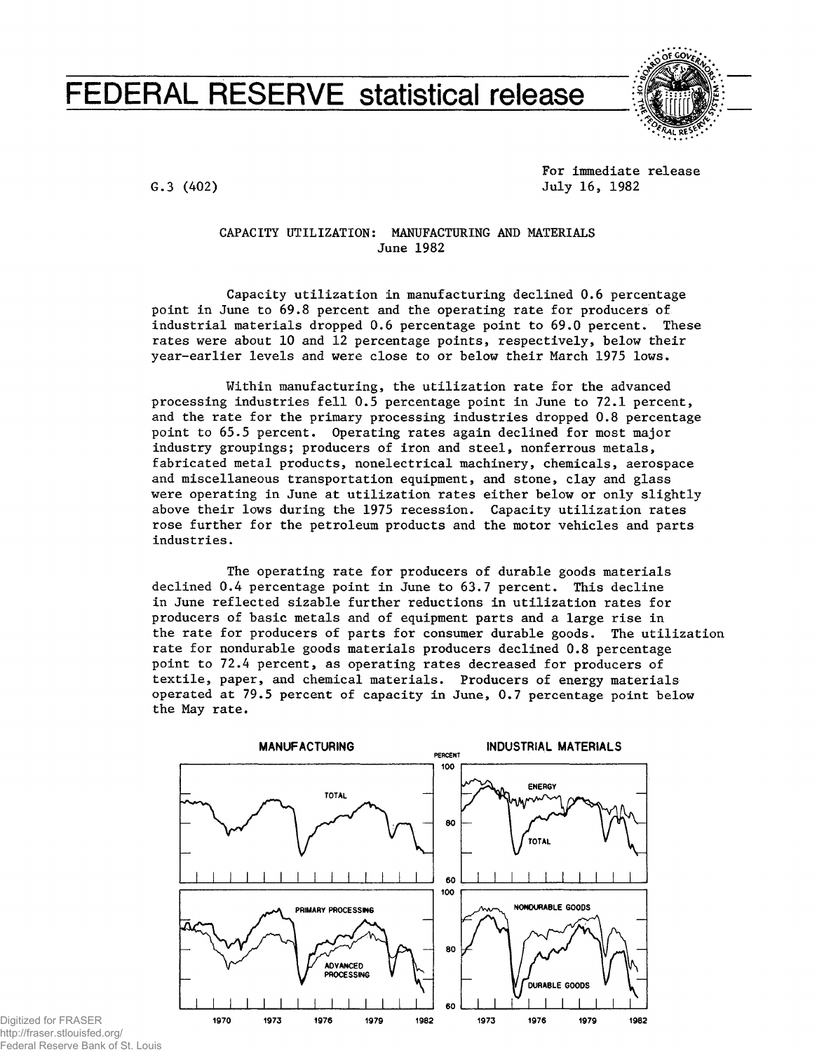# **FEDERAL RESERVE statistical release**



G.3 (402)

For immediate release July 16, 1982

## **CAPACITY UTILIZATION: MANUFACTURING AND MATERIALS June 1982**

Capacity utilization in manufacturing declined 0.6 percentage point in June to 69,8 percent and the operating rate for producers of industrial materials dropped 0.6 percentage point to 69.0 percent. These rates were about 10 and 12 percentage points, respectively, below their year-earlier levels and were close to or below their March 1975 lows.

Within manufacturing, the utilization rate for the advanced processing industries fell 0.5 percentage point in June to 72.1 percent, and the rate for the primary processing industries dropped 0.8 percentage point to 65.5 percent. Operating rates again declined for most major industry groupings; producers of iron and steel, nonferrous metals, fabricated metal products, nonelectrical machinery, chemicals, aerospace and miscellaneous transportation equipment, and stone, clay and glass were operating in June at utilization rates either below or only slightly above their lows during the 1975 recession. Capacity utilization rates rose further for the petroleum products and the motor vehicles and parts industries.

The operating rate for producers of durable goods materials declined 0.4 percentage point in June to 63.7 percent. This decline in June reflected sizable further reductions in utilization rates for producers of basic metals and of equipment parts and a large rise in the rate for producers of parts for consumer durable goods. The utilization rate for nondurable goods materials producers declined 0.8 percentage point to 72.4 percent, as operating rates decreased for producers of textile, paper, and chemical materials. Producers of energy materials operated at 79.5 percent of capacity in June, 0.7 percentage point below the May rate.



http://fraser.stlouisfed.org/ Federal Reserve Bank of St. Louis